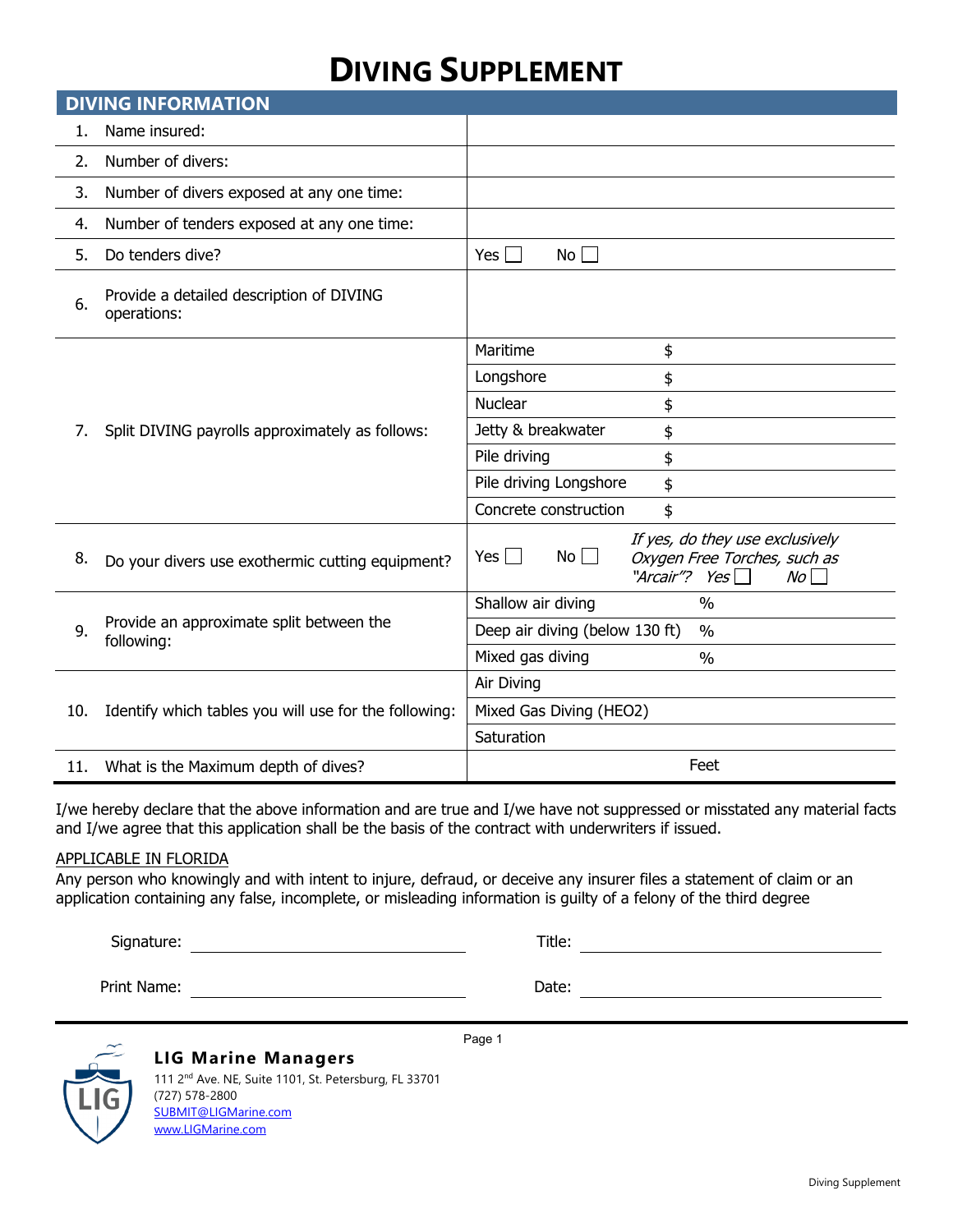# **DIVING SUPPLEMENT**

| <b>DIVING INFORMATION</b> |                                                         |                                                                                                                         |  |  |  |  |  |
|---------------------------|---------------------------------------------------------|-------------------------------------------------------------------------------------------------------------------------|--|--|--|--|--|
| 1.                        | Name insured:                                           |                                                                                                                         |  |  |  |  |  |
| 2.                        | Number of divers:                                       |                                                                                                                         |  |  |  |  |  |
| 3.                        | Number of divers exposed at any one time:               |                                                                                                                         |  |  |  |  |  |
| 4.                        | Number of tenders exposed at any one time:              |                                                                                                                         |  |  |  |  |  |
| 5.                        | Do tenders dive?                                        | Yes $\Box$<br>No <sub>1</sub>                                                                                           |  |  |  |  |  |
| 6.                        | Provide a detailed description of DIVING<br>operations: |                                                                                                                         |  |  |  |  |  |
| 7.                        | Split DIVING payrolls approximately as follows:         | Maritime<br>\$                                                                                                          |  |  |  |  |  |
|                           |                                                         | Longshore<br>\$                                                                                                         |  |  |  |  |  |
|                           |                                                         | Nuclear<br>\$                                                                                                           |  |  |  |  |  |
|                           |                                                         | Jetty & breakwater<br>\$                                                                                                |  |  |  |  |  |
|                           |                                                         | Pile driving<br>\$                                                                                                      |  |  |  |  |  |
|                           |                                                         | Pile driving Longshore<br>\$                                                                                            |  |  |  |  |  |
|                           |                                                         | Concrete construction<br>\$                                                                                             |  |  |  |  |  |
| 8.                        | Do your divers use exothermic cutting equipment?        | If yes, do they use exclusively<br>No <sub>1</sub><br>Yes I I<br>Oxygen Free Torches, such as<br>"Arcair"? Yes<br>$N_O$ |  |  |  |  |  |
|                           | Provide an approximate split between the<br>following:  | Shallow air diving<br>$\frac{0}{0}$                                                                                     |  |  |  |  |  |
| 9.                        |                                                         | Deep air diving (below 130 ft)<br>$\frac{0}{0}$                                                                         |  |  |  |  |  |
|                           |                                                         | Mixed gas diving<br>$\frac{0}{0}$                                                                                       |  |  |  |  |  |
| 10.                       | Identify which tables you will use for the following:   | Air Diving                                                                                                              |  |  |  |  |  |
|                           |                                                         | Mixed Gas Diving (HEO2)                                                                                                 |  |  |  |  |  |
|                           |                                                         | Saturation                                                                                                              |  |  |  |  |  |
| 11.                       | What is the Maximum depth of dives?                     | Feet                                                                                                                    |  |  |  |  |  |

I/we hereby declare that the above information and are true and I/we have not suppressed or misstated any material facts and I/we agree that this application shall be the basis of the contract with underwriters if issued.

Page 1

#### APPLICABLE IN FLORIDA

Any person who knowingly and with intent to injure, defraud, or deceive any insurer files a statement of claim or an application containing any false, incomplete, or misleading information is guilty of a felony of the third degree

Signature: Title:

Print Name: Date:



#### **LIG Marine Managers** 111 2<sup>nd</sup> Ave. NE, Suite 1101, St. Petersburg, FL 33701 (727) 578-2800

[SUBMIT@LIGMarine.com](mailto:SUBMIT@LIGMarine.com) [www.LIGMarine.com](http://www.ligmarine.com/)

Diving Supplement